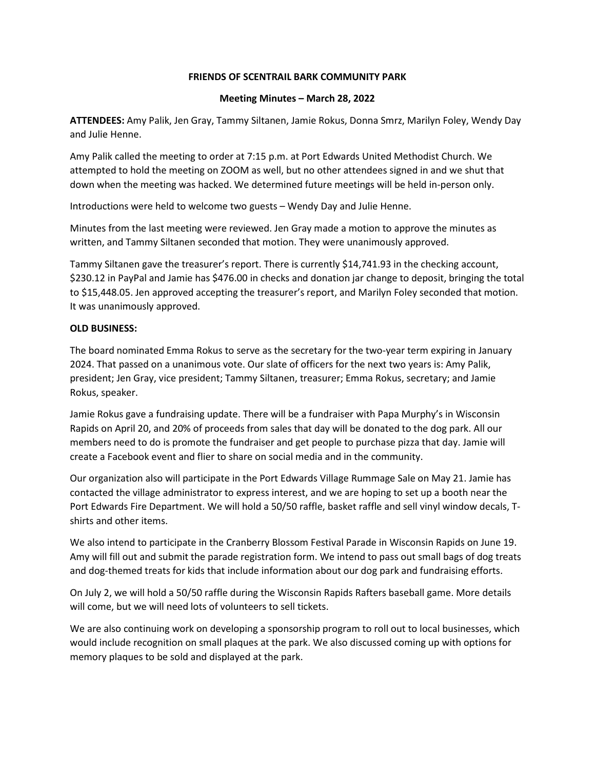## **FRIENDS OF SCENTRAIL BARK COMMUNITY PARK**

## **Meeting Minutes – March 28, 2022**

**ATTENDEES:** Amy Palik, Jen Gray, Tammy Siltanen, Jamie Rokus, Donna Smrz, Marilyn Foley, Wendy Day and Julie Henne.

Amy Palik called the meeting to order at 7:15 p.m. at Port Edwards United Methodist Church. We attempted to hold the meeting on ZOOM as well, but no other attendees signed in and we shut that down when the meeting was hacked. We determined future meetings will be held in-person only.

Introductions were held to welcome two guests – Wendy Day and Julie Henne.

Minutes from the last meeting were reviewed. Jen Gray made a motion to approve the minutes as written, and Tammy Siltanen seconded that motion. They were unanimously approved.

Tammy Siltanen gave the treasurer's report. There is currently \$14,741.93 in the checking account, \$230.12 in PayPal and Jamie has \$476.00 in checks and donation jar change to deposit, bringing the total to \$15,448.05. Jen approved accepting the treasurer's report, and Marilyn Foley seconded that motion. It was unanimously approved.

## **OLD BUSINESS:**

The board nominated Emma Rokus to serve as the secretary for the two-year term expiring in January 2024. That passed on a unanimous vote. Our slate of officers for the next two years is: Amy Palik, president; Jen Gray, vice president; Tammy Siltanen, treasurer; Emma Rokus, secretary; and Jamie Rokus, speaker.

Jamie Rokus gave a fundraising update. There will be a fundraiser with Papa Murphy's in Wisconsin Rapids on April 20, and 20% of proceeds from sales that day will be donated to the dog park. All our members need to do is promote the fundraiser and get people to purchase pizza that day. Jamie will create a Facebook event and flier to share on social media and in the community.

Our organization also will participate in the Port Edwards Village Rummage Sale on May 21. Jamie has contacted the village administrator to express interest, and we are hoping to set up a booth near the Port Edwards Fire Department. We will hold a 50/50 raffle, basket raffle and sell vinyl window decals, Tshirts and other items.

We also intend to participate in the Cranberry Blossom Festival Parade in Wisconsin Rapids on June 19. Amy will fill out and submit the parade registration form. We intend to pass out small bags of dog treats and dog-themed treats for kids that include information about our dog park and fundraising efforts.

On July 2, we will hold a 50/50 raffle during the Wisconsin Rapids Rafters baseball game. More details will come, but we will need lots of volunteers to sell tickets.

We are also continuing work on developing a sponsorship program to roll out to local businesses, which would include recognition on small plaques at the park. We also discussed coming up with options for memory plaques to be sold and displayed at the park.